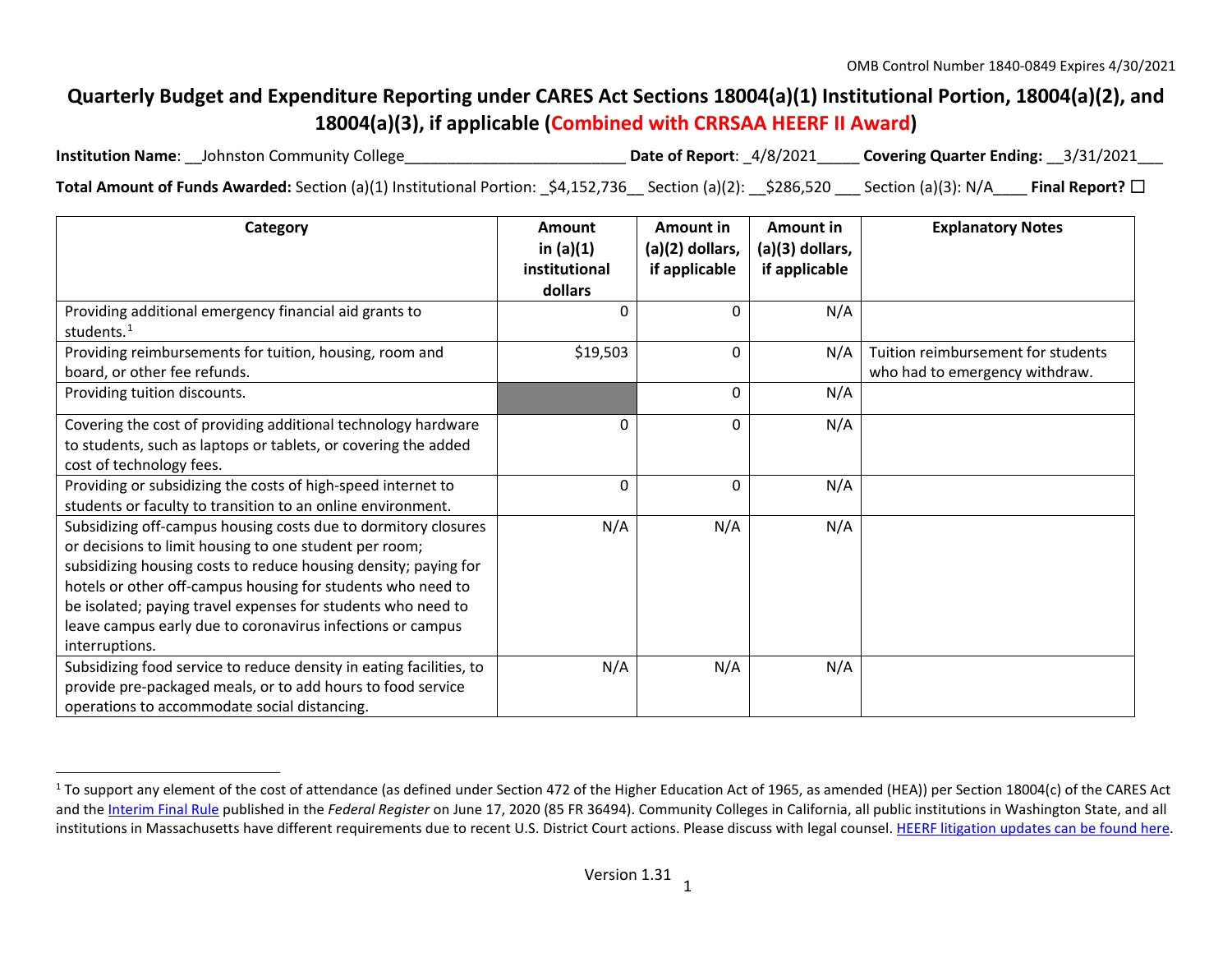## <span id="page-0-0"></span>**Quarterly Budget and Expenditure Reporting under CARES Act Sections 18004(a)(1) Institutional Portion, 18004(a)(2), and 18004(a)(3), if applicable (Combined with CRRSAA HEERF II Award)**

| <b>Institution Name:</b> Johnston Community College                                                        | <b>Date of Report: 4/8/2021</b> | Covering Quarter Ending: __3/31/2021_ |                         |
|------------------------------------------------------------------------------------------------------------|---------------------------------|---------------------------------------|-------------------------|
| Total Amount of Funds Awarded: Section (a)(1) Institutional Portion: \$4,152,736 Section (a)(2): \$286,520 |                                 | $\quad$ Section (a)(3): N/A           | Final Report? $\square$ |

| Category                                                                                                                                                                                                                                                                                                                                                                                                   | Amount<br>in $(a)(1)$<br>institutional | Amount in<br>$(a)(2)$ dollars,<br>if applicable | Amount in<br>(a)(3) dollars,<br>if applicable | <b>Explanatory Notes</b>           |
|------------------------------------------------------------------------------------------------------------------------------------------------------------------------------------------------------------------------------------------------------------------------------------------------------------------------------------------------------------------------------------------------------------|----------------------------------------|-------------------------------------------------|-----------------------------------------------|------------------------------------|
|                                                                                                                                                                                                                                                                                                                                                                                                            | dollars                                |                                                 |                                               |                                    |
| Providing additional emergency financial aid grants to<br>students. <sup>1</sup>                                                                                                                                                                                                                                                                                                                           | 0                                      | 0                                               | N/A                                           |                                    |
| Providing reimbursements for tuition, housing, room and                                                                                                                                                                                                                                                                                                                                                    | \$19,503                               | 0                                               | N/A                                           | Tuition reimbursement for students |
| board, or other fee refunds.                                                                                                                                                                                                                                                                                                                                                                               |                                        |                                                 |                                               | who had to emergency withdraw.     |
| Providing tuition discounts.                                                                                                                                                                                                                                                                                                                                                                               |                                        | 0                                               | N/A                                           |                                    |
| Covering the cost of providing additional technology hardware<br>to students, such as laptops or tablets, or covering the added<br>cost of technology fees.                                                                                                                                                                                                                                                | 0                                      | 0                                               | N/A                                           |                                    |
| Providing or subsidizing the costs of high-speed internet to<br>students or faculty to transition to an online environment.                                                                                                                                                                                                                                                                                | $\Omega$                               | 0                                               | N/A                                           |                                    |
| Subsidizing off-campus housing costs due to dormitory closures<br>or decisions to limit housing to one student per room;<br>subsidizing housing costs to reduce housing density; paying for<br>hotels or other off-campus housing for students who need to<br>be isolated; paying travel expenses for students who need to<br>leave campus early due to coronavirus infections or campus<br>interruptions. | N/A                                    | N/A                                             | N/A                                           |                                    |
| Subsidizing food service to reduce density in eating facilities, to<br>provide pre-packaged meals, or to add hours to food service<br>operations to accommodate social distancing.                                                                                                                                                                                                                         | N/A                                    | N/A                                             | N/A                                           |                                    |

 $1$  To support any element of the cost of attendance (as defined under Section 472 of the Higher Education Act of 1965, as amended (HEA)) per Section 18004(c) of the CARES Act and th[e Interim Final Rule](https://www.federalregister.gov/documents/2020/06/17/2020-12965/eligibility-of-students-at-institutions-of-higher-education-for-funds-under-the-coronavirus-aid) published in the *Federal Register* on June 17, 2020 (85 FR 36494). Community Colleges in California, all public institutions in Washington State, and all institutions in Massachusetts have different requirements due to recent U.S. District Court actions. Please discuss with legal counsel[. HEERF litigation updates can be found here.](https://www2.ed.gov/about/offices/list/ope/heerfupdates.html)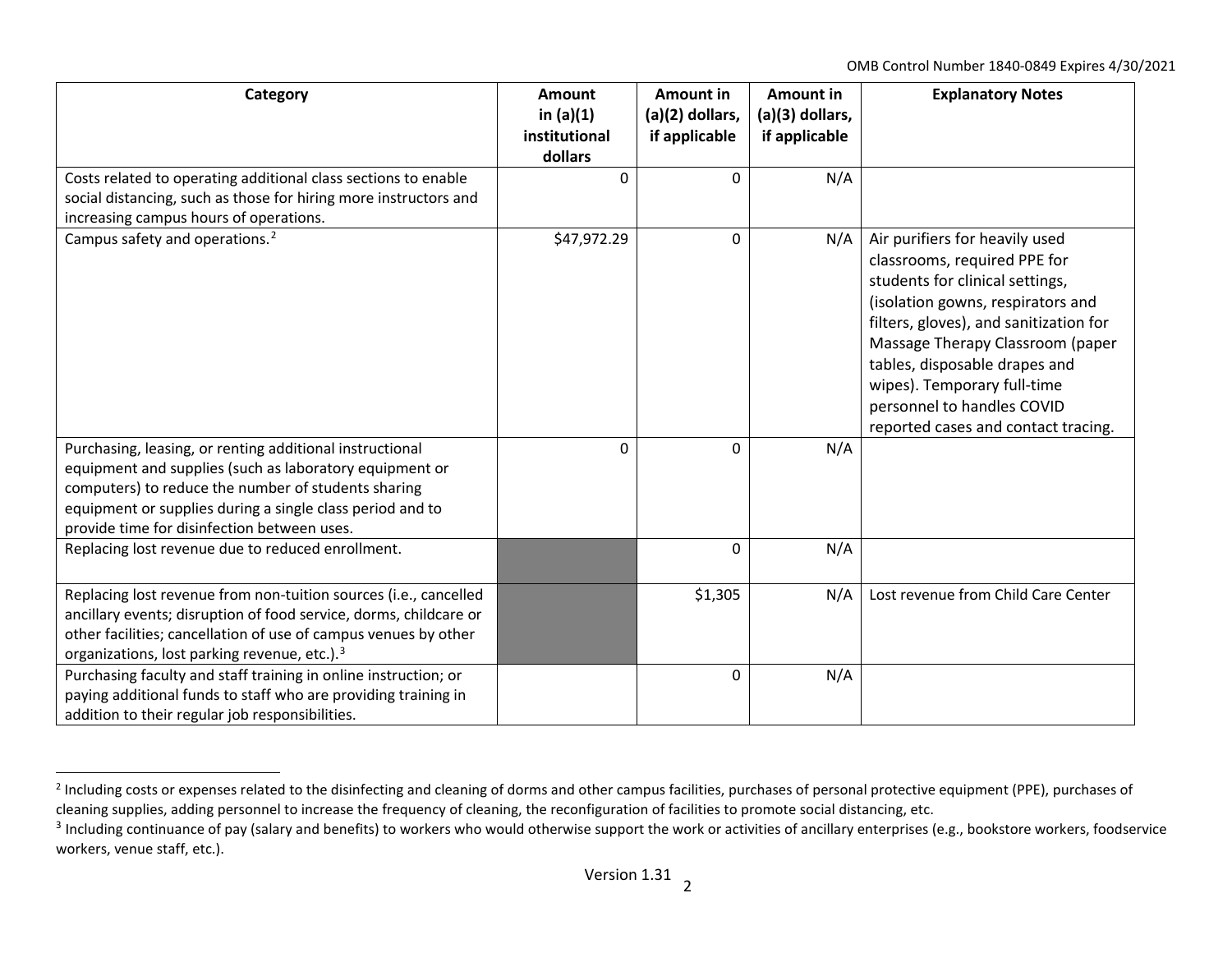<span id="page-1-1"></span><span id="page-1-0"></span>OMB Control Number 1840-0849 Expires 4/30/2021

| Category                                                                                                                                                                                                                                                                               | <b>Amount</b><br>in $(a)(1)$<br>institutional<br>dollars | Amount in<br>(a)(2) dollars,<br>if applicable | Amount in<br>(a)(3) dollars,<br>if applicable | <b>Explanatory Notes</b>                                                                                                                                                                                                                                                                                                                                  |
|----------------------------------------------------------------------------------------------------------------------------------------------------------------------------------------------------------------------------------------------------------------------------------------|----------------------------------------------------------|-----------------------------------------------|-----------------------------------------------|-----------------------------------------------------------------------------------------------------------------------------------------------------------------------------------------------------------------------------------------------------------------------------------------------------------------------------------------------------------|
| Costs related to operating additional class sections to enable                                                                                                                                                                                                                         | 0                                                        | 0                                             | N/A                                           |                                                                                                                                                                                                                                                                                                                                                           |
| social distancing, such as those for hiring more instructors and                                                                                                                                                                                                                       |                                                          |                                               |                                               |                                                                                                                                                                                                                                                                                                                                                           |
| increasing campus hours of operations.                                                                                                                                                                                                                                                 |                                                          |                                               |                                               |                                                                                                                                                                                                                                                                                                                                                           |
| Campus safety and operations. <sup>2</sup>                                                                                                                                                                                                                                             | \$47,972.29                                              | 0                                             | N/A                                           | Air purifiers for heavily used<br>classrooms, required PPE for<br>students for clinical settings,<br>(isolation gowns, respirators and<br>filters, gloves), and sanitization for<br>Massage Therapy Classroom (paper<br>tables, disposable drapes and<br>wipes). Temporary full-time<br>personnel to handles COVID<br>reported cases and contact tracing. |
| Purchasing, leasing, or renting additional instructional<br>equipment and supplies (such as laboratory equipment or<br>computers) to reduce the number of students sharing<br>equipment or supplies during a single class period and to<br>provide time for disinfection between uses. | $\Omega$                                                 | $\Omega$                                      | N/A                                           |                                                                                                                                                                                                                                                                                                                                                           |
| Replacing lost revenue due to reduced enrollment.                                                                                                                                                                                                                                      |                                                          | 0                                             | N/A                                           |                                                                                                                                                                                                                                                                                                                                                           |
| Replacing lost revenue from non-tuition sources (i.e., cancelled<br>ancillary events; disruption of food service, dorms, childcare or<br>other facilities; cancellation of use of campus venues by other<br>organizations, lost parking revenue, etc.). <sup>3</sup>                   |                                                          | \$1,305                                       | N/A                                           | Lost revenue from Child Care Center                                                                                                                                                                                                                                                                                                                       |
| Purchasing faculty and staff training in online instruction; or<br>paying additional funds to staff who are providing training in<br>addition to their regular job responsibilities.                                                                                                   |                                                          | $\Omega$                                      | N/A                                           |                                                                                                                                                                                                                                                                                                                                                           |

<sup>&</sup>lt;sup>2</sup> Including costs or expenses related to the disinfecting and cleaning of dorms and other campus facilities, purchases of personal protective equipment (PPE), purchases of cleaning supplies, adding personnel to increase the frequency of cleaning, the reconfiguration of facilities to promote social distancing, etc.

<sup>&</sup>lt;sup>3</sup> Including continuance of pay (salary and benefits) to workers who would otherwise support the work or activities of ancillary enterprises (e.g., bookstore workers, foodservice workers, venue staff, etc.).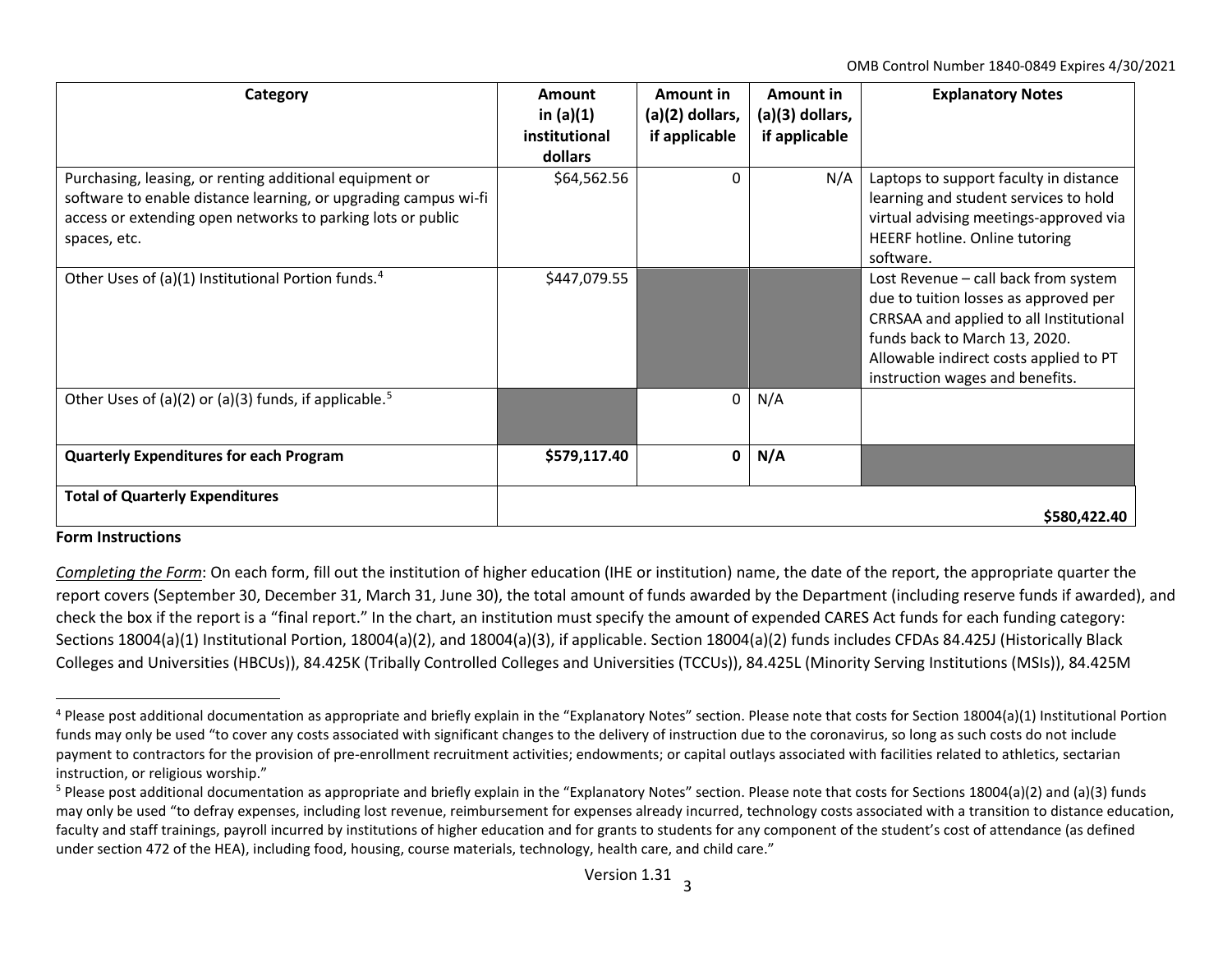<span id="page-2-1"></span><span id="page-2-0"></span>OMB Control Number 1840-0849 Expires 4/30/2021

| Category                                                                                                                                                                                                  | Amount<br>in $(a)(1)$<br>institutional<br>dollars | Amount in<br>(a)(2) dollars,<br>if applicable | Amount in<br>$(a)(3)$ dollars,<br>if applicable | <b>Explanatory Notes</b>                                                                                                                                                                                                               |
|-----------------------------------------------------------------------------------------------------------------------------------------------------------------------------------------------------------|---------------------------------------------------|-----------------------------------------------|-------------------------------------------------|----------------------------------------------------------------------------------------------------------------------------------------------------------------------------------------------------------------------------------------|
| Purchasing, leasing, or renting additional equipment or<br>software to enable distance learning, or upgrading campus wi-fi<br>access or extending open networks to parking lots or public<br>spaces, etc. | \$64,562.56                                       | 0                                             | N/A                                             | Laptops to support faculty in distance<br>learning and student services to hold<br>virtual advising meetings-approved via<br>HEERF hotline. Online tutoring<br>software.                                                               |
| Other Uses of (a)(1) Institutional Portion funds. <sup>4</sup>                                                                                                                                            | \$447,079.55                                      |                                               |                                                 | Lost Revenue - call back from system<br>due to tuition losses as approved per<br>CRRSAA and applied to all Institutional<br>funds back to March 13, 2020.<br>Allowable indirect costs applied to PT<br>instruction wages and benefits. |
| Other Uses of (a)(2) or (a)(3) funds, if applicable. <sup>5</sup>                                                                                                                                         |                                                   | 0                                             | N/A                                             |                                                                                                                                                                                                                                        |
| <b>Quarterly Expenditures for each Program</b>                                                                                                                                                            | \$579,117.40                                      | <sup>0</sup>                                  | N/A                                             |                                                                                                                                                                                                                                        |
| <b>Total of Quarterly Expenditures</b>                                                                                                                                                                    |                                                   |                                               |                                                 | \$580,422.40                                                                                                                                                                                                                           |

## **Form Instructions**

*Completing the Form*: On each form, fill out the institution of higher education (IHE or institution) name, the date of the report, the appropriate quarter the report covers (September 30, December 31, March 31, June 30), the total amount of funds awarded by the Department (including reserve funds if awarded), and check the box if the report is a "final report." In the chart, an institution must specify the amount of expended CARES Act funds for each funding category: Sections 18004(a)(1) Institutional Portion, 18004(a)(2), and 18004(a)(3), if applicable. Section 18004(a)(2) funds includes CFDAs 84.425J (Historically Black Colleges and Universities (HBCUs)), 84.425K (Tribally Controlled Colleges and Universities (TCCUs)), 84.425L (Minority Serving Institutions (MSIs)), 84.425M

<sup>&</sup>lt;sup>4</sup> Please post additional documentation as appropriate and briefly explain in the "Explanatory Notes" section. Please note that costs for Section 18004(a)(1) Institutional Portion funds may only be used "to cover any costs associated with significant changes to the delivery of instruction due to the coronavirus, so long as such costs do not include payment to contractors for the provision of pre-enrollment recruitment activities; endowments; or capital outlays associated with facilities related to athletics, sectarian instruction, or religious worship."

<sup>&</sup>lt;sup>5</sup> Please post additional documentation as appropriate and briefly explain in the "Explanatory Notes" section. Please note that costs for Sections 18004(a)(2) and (a)(3) funds may only be used "to defray expenses, including lost revenue, reimbursement for expenses already incurred, technology costs associated with a transition to distance education, faculty and staff trainings, payroll incurred by institutions of higher education and for grants to students for any component of the student's cost of attendance (as defined under section 472 of the HEA), including food, housing, course materials, technology, health care, and child care."